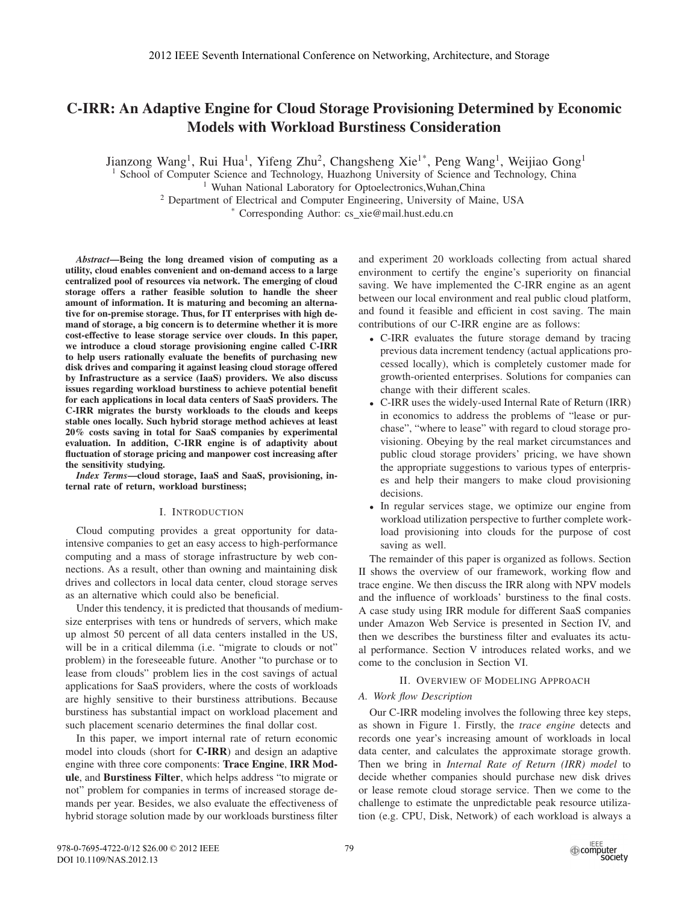# **C-IRR: An Adaptive Engine for Cloud Storage Provisioning Determined by Economic Models with Workload Burstiness Consideration**

Jianzong Wang<sup>1</sup>, Rui Hua<sup>1</sup>, Yifeng Zhu<sup>2</sup>, Changsheng Xie<sup>1\*</sup>, Peng Wang<sup>1</sup>, Weijiao Gong<sup>1</sup>

<sup>1</sup> School of Computer Science and Technology, Huazhong University of Science and Technology, China

<sup>1</sup> Wuhan National Laboratory for Optoelectronics, Wuhan, China

<sup>2</sup> Department of Electrical and Computer Engineering, University of Maine, USA

Corresponding Author: cs\_xie@mail.hust.edu.cn

*Abstract***—Being the long dreamed vision of computing as a utility, cloud enables convenient and on-demand access to a large centralized pool of resources via network. The emerging of cloud storage offers a rather feasible solution to handle the sheer amount of information. It is maturing and becoming an alternative for on-premise storage. Thus, for IT enterprises with high demand of storage, a big concern is to determine whether it is more cost-effective to lease storage service over clouds. In this paper, we introduce a cloud storage provisioning engine called C-IRR to help users rationally evaluate the benefits of purchasing new disk drives and comparing it against leasing cloud storage offered by Infrastructure as a service (IaaS) providers. We also discuss issues regarding workload burstiness to achieve potential benefit for each applications in local data centers of SaaS providers. The C-IRR migrates the bursty workloads to the clouds and keeps stable ones locally. Such hybrid storage method achieves at least 20% costs saving in total for SaaS companies by experimental evaluation. In addition, C-IRR engine is of adaptivity about fluctuation of storage pricing and manpower cost increasing after the sensitivity studying.**

*Index Terms***—cloud storage, IaaS and SaaS, provisioning, internal rate of return, workload burstiness;**

## I. INTRODUCTION

Cloud computing provides a great opportunity for dataintensive companies to get an easy access to high-performance computing and a mass of storage infrastructure by web connections. As a result, other than owning and maintaining disk drives and collectors in local data center, cloud storage serves as an alternative which could also be beneficial.

Under this tendency, it is predicted that thousands of mediumsize enterprises with tens or hundreds of servers, which make up almost 50 percent of all data centers installed in the US, will be in a critical dilemma (i.e. "migrate to clouds or not" problem) in the foreseeable future. Another "to purchase or to lease from clouds" problem lies in the cost savings of actual applications for SaaS providers, where the costs of workloads are highly sensitive to their burstiness attributions. Because burstiness has substantial impact on workload placement and such placement scenario determines the final dollar cost.

In this paper, we import internal rate of return economic model into clouds (short for **C-IRR**) and design an adaptive engine with three core components: **Trace Engine**, **IRR Module**, and **Burstiness Filter**, which helps address "to migrate or not" problem for companies in terms of increased storage demands per year. Besides, we also evaluate the effectiveness of hybrid storage solution made by our workloads burstiness filter

and experiment 20 workloads collecting from actual shared environment to certify the engine's superiority on financial saving. We have implemented the C-IRR engine as an agent between our local environment and real public cloud platform, and found it feasible and efficient in cost saving. The main contributions of our C-IRR engine are as follows:

- C-IRR evaluates the future storage demand by tracing previous data increment tendency (actual applications processed locally), which is completely customer made for growth-oriented enterprises. Solutions for companies can change with their different scales.
- C-IRR uses the widely-used Internal Rate of Return (IRR) in economics to address the problems of "lease or purchase", "where to lease" with regard to cloud storage provisioning. Obeying by the real market circumstances and public cloud storage providers' pricing, we have shown the appropriate suggestions to various types of enterprises and help their mangers to make cloud provisioning decisions.
- In regular services stage, we optimize our engine from workload utilization perspective to further complete workload provisioning into clouds for the purpose of cost saving as well.

The remainder of this paper is organized as follows. Section II shows the overview of our framework, working flow and trace engine. We then discuss the IRR along with NPV models and the influence of workloads' burstiness to the final costs. A case study using IRR module for different SaaS companies under Amazon Web Service is presented in Section IV, and then we describes the burstiness filter and evaluates its actual performance. Section V introduces related works, and we come to the conclusion in Section VI.

## II. OVERVIEW OF MODELING APPROACH

## *A. Work flow Description*

Our C-IRR modeling involves the following three key steps, as shown in Figure 1. Firstly, the *trace engine* detects and records one year's increasing amount of workloads in local data center, and calculates the approximate storage growth. Then we bring in *Internal Rate of Return (IRR) model* to decide whether companies should purchase new disk drives or lease remote cloud storage service. Then we come to the challenge to estimate the unpredictable peak resource utilization (e.g. CPU, Disk, Network) of each workload is always a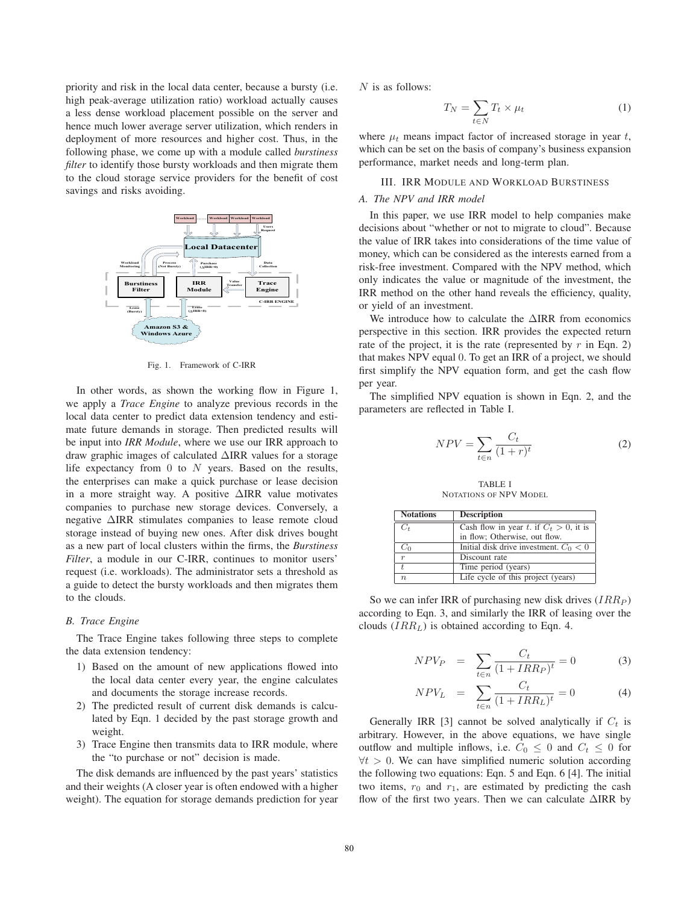priority and risk in the local data center, because a bursty (i.e. high peak-average utilization ratio) workload actually causes a less dense workload placement possible on the server and hence much lower average server utilization, which renders in deployment of more resources and higher cost. Thus, in the following phase, we come up with a module called *burstiness filter* to identify those bursty workloads and then migrate them to the cloud storage service providers for the benefit of cost savings and risks avoiding.



Fig. 1. Framework of C-IRR

In other words, as shown the working flow in Figure 1, we apply a *Trace Engine* to analyze previous records in the local data center to predict data extension tendency and estimate future demands in storage. Then predicted results will be input into IRR Module, where we use our IRR approach to draw graphic images of calculated  $\triangle$ IRR values for a storage life expectancy from  $0$  to  $N$  years. Based on the results, the enterprises can make a quick purchase or lease decision in a more straight way. A positive  $\triangle$ IRR value motivates companies to purchase new storage devices. Conversely, a negative  $\triangle$ IRR stimulates companies to lease remote cloud storage instead of buying new ones. After disk drives bought as a new part of local clusters within the firms, the Burstiness Filter, a module in our C-IRR, continues to monitor users' request (i.e. workloads). The administrator sets a threshold as a guide to detect the bursty workloads and then migrates them to the clouds.

# **B.** Trace Engine

The Trace Engine takes following three steps to complete the data extension tendency:

- 1) Based on the amount of new applications flowed into the local data center every year, the engine calculates and documents the storage increase records.
- 2) The predicted result of current disk demands is calculated by Eqn. 1 decided by the past storage growth and weight.
- 3) Trace Engine then transmits data to IRR module, where the "to purchase or not" decision is made.

The disk demands are influenced by the past years' statistics and their weights (A closer year is often endowed with a higher weight). The equation for storage demands prediction for year  $N$  is as follows:

$$
T_N = \sum_{t \in N} T_t \times \mu_t \tag{1}
$$

where  $\mu_t$  means impact factor of increased storage in year t, which can be set on the basis of company's business expansion performance, market needs and long-term plan.

### **III. IRR MODULE AND WORKLOAD BURSTINESS**

## A. The NPV and IRR model

In this paper, we use IRR model to help companies make decisions about "whether or not to migrate to cloud". Because the value of IRR takes into considerations of the time value of money, which can be considered as the interests earned from a risk-free investment. Compared with the NPV method, which only indicates the value or magnitude of the investment, the IRR method on the other hand reveals the efficiency, quality, or yield of an investment.

We introduce how to calculate the  $\triangle$ IRR from economics perspective in this section. IRR provides the expected return rate of the project, it is the rate (represented by  $r$  in Eqn. 2) that makes NPV equal 0. To get an IRR of a project, we should first simplify the NPV equation form, and get the cash flow per year.

The simplified NPV equation is shown in Eqn. 2, and the parameters are reflected in Table I.

$$
NPV = \sum_{t \in n} \frac{C_t}{(1+r)^t} \tag{2}
$$

**TABLE I** NOTATIONS OF NPV MODEL

| <b>Notations</b> | <b>Description</b>                        |
|------------------|-------------------------------------------|
| $C_t$            | Cash flow in year t. if $C_t > 0$ , it is |
|                  | in flow; Otherwise, out flow.             |
| $C_0$            | Initial disk drive investment. $C_0 < 0$  |
| $\boldsymbol{r}$ | Discount rate                             |
|                  | Time period (years)                       |
| $\eta$           | Life cycle of this project (years)        |

So we can infer IRR of purchasing new disk drives  $(IRR_P)$ according to Eqn. 3, and similarly the IRR of leasing over the clouds  $(IRR_L)$  is obtained according to Eqn. 4.

$$
NPV_P = \sum_{t \in n} \frac{C_t}{(1 + IRR_P)^t} = 0
$$
 (3)

$$
NPV_L = \sum_{t \in n} \frac{C_t}{(1 + IRR_L)^t} = 0
$$
 (4)

Generally IRR [3] cannot be solved analytically if  $C_t$  is arbitrary. However, in the above equations, we have single outflow and multiple inflows, i.e.  $C_0 \leq 0$  and  $C_t \leq 0$  for  $\forall t > 0$ . We can have simplified numeric solution according the following two equations: Eqn. 5 and Eqn. 6 [4]. The initial two items,  $r_0$  and  $r_1$ , are estimated by predicting the cash flow of the first two years. Then we can calculate  $\triangle$ IRR by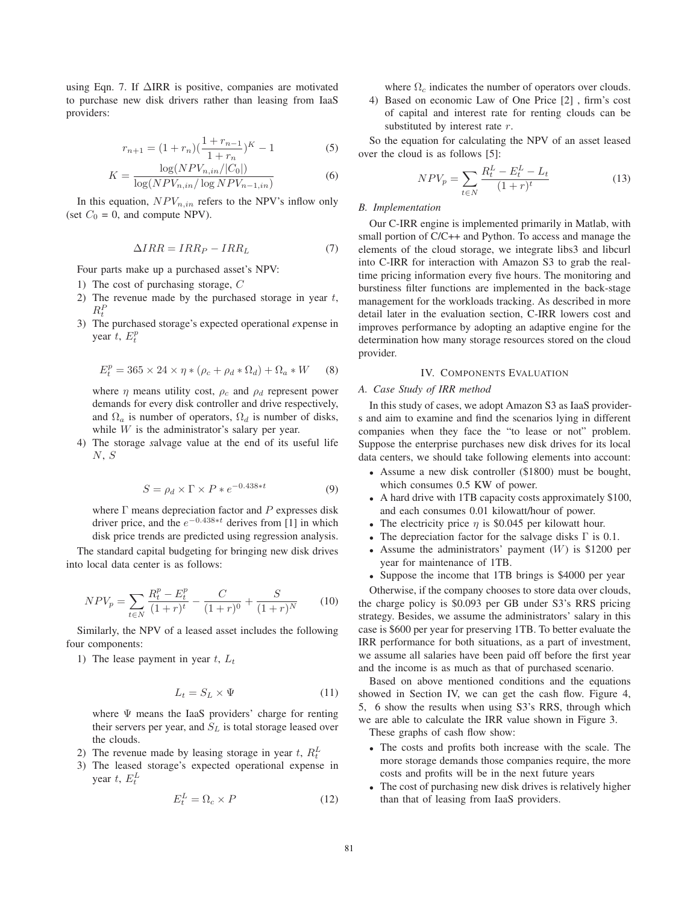using Eqn. 7. If ΔIRR is positive, companies are motivated to purchase new disk drivers rather than leasing from IaaS providers:

$$
r_{n+1} = (1 + r_n) \left(\frac{1 + r_{n-1}}{1 + r_n}\right)^K - 1
$$
\n
$$
\log(NPV + ||C_n||)
$$
\n(5)

$$
K = \frac{\log(NPV_{n,in}/|C_0|)}{\log(NPV_{n,in}/\log NPV_{n-1,in})}
$$
(6)

In this equation,  $NPV_{n,in}$  refers to the NPV's inflow only (set  $C_0 = 0$ , and compute NPV).

$$
\Delta IRR = IRR_P - IRR_L \tag{7}
$$

Four parts make up a purchased asset's NPV:

- 1) The cost of purchasing storage, C
- 2) The revenue made by the purchased storage in year  $t$ ,  $R_t^P$
- 3) The purchased storage's expected operational *e*xpense in year  $t$ ,  $E_t^p$

$$
E_t^p = 365 \times 24 \times \eta * (\rho_c + \rho_d * \Omega_d) + \Omega_a * W \qquad (8)
$$

where  $\eta$  means utility cost,  $\rho_c$  and  $\rho_d$  represent power demands for every disk controller and drive respectively, and  $\Omega_a$  is number of operators,  $\Omega_d$  is number of disks, while  $W$  is the administrator's salary per year.

4) The storage *s*alvage value at the end of its useful life  $N, S$ 

$$
S = \rho_d \times \Gamma \times P * e^{-0.438*t}
$$
 (9)

where  $\Gamma$  means depreciation factor and  $P$  expresses disk driver price, and the  $e^{-0.438*t}$  derives from [1] in which disk price trends are predicted using regression analysis.

The standard capital budgeting for bringing new disk drives into local data center is as follows:

$$
NPV_p = \sum_{t \in N} \frac{R_t^p - E_t^p}{(1+r)^t} - \frac{C}{(1+r)^0} + \frac{S}{(1+r)^N}
$$
(10)

Similarly, the NPV of a leased asset includes the following four components:

1) The lease payment in year  $t, L_t$ 

$$
L_t = S_L \times \Psi \tag{11}
$$

where Ψ means the IaaS providers' charge for renting their servers per year, and  $S_L$  is total storage leased over the clouds.

- 2) The revenue made by leasing storage in year t,  $R_t^L$
- 3) The leased storage's expected operational expense in year  $t$ ,  $E_t^L$

$$
E_t^L = \Omega_c \times P \tag{12}
$$

where  $\Omega_c$  indicates the number of operators over clouds.

4) Based on economic Law of One Price [2] , firm's cost of capital and interest rate for renting clouds can be substituted by interest rate  $r$ .

So the equation for calculating the NPV of an asset leased over the cloud is as follows [5]:

$$
NPV_p = \sum_{t \in N} \frac{R_t^L - E_t^L - L_t}{(1+r)^t}
$$
 (13)

# *B. Implementation*

Our C-IRR engine is implemented primarily in Matlab, with small portion of C/C++ and Python. To access and manage the elements of the cloud storage, we integrate libs3 and libcurl into C-IRR for interaction with Amazon S3 to grab the realtime pricing information every five hours. The monitoring and burstiness filter functions are implemented in the back-stage management for the workloads tracking. As described in more detail later in the evaluation section, C-IRR lowers cost and improves performance by adopting an adaptive engine for the determination how many storage resources stored on the cloud provider.

### IV. COMPONENTS EVALUATION

## *A. Case Study of IRR method*

In this study of cases, we adopt Amazon S3 as IaaS providers and aim to examine and find the scenarios lying in different companies when they face the "to lease or not" problem. Suppose the enterprise purchases new disk drives for its local data centers, we should take following elements into account:

- Assume a new disk controller (\$1800) must be bought, which consumes 0.5 KW of power.
- A hard drive with 1TB capacity costs approximately \$100, and each consumes 0.01 kilowatt/hour of power.
- The electricity price  $\eta$  is \$0.045 per kilowatt hour.
- The depreciation factor for the salvage disks  $\Gamma$  is 0.1.
- Assume the administrators' payment  $(W)$  is \$1200 per year for maintenance of 1TB.
- Suppose the income that 1TB brings is \$4000 per year

Otherwise, if the company chooses to store data over clouds, the charge policy is \$0.093 per GB under S3's RRS pricing strategy. Besides, we assume the administrators' salary in this case is \$600 per year for preserving 1TB. To better evaluate the IRR performance for both situations, as a part of investment, we assume all salaries have been paid off before the first year and the income is as much as that of purchased scenario.

Based on above mentioned conditions and the equations showed in Section IV, we can get the cash flow. Figure 4, 5, 6 show the results when using S3's RRS, through which we are able to calculate the IRR value shown in Figure 3.

These graphs of cash flow show:

- The costs and profits both increase with the scale. The more storage demands those companies require, the more costs and profits will be in the next future years
- The cost of purchasing new disk drives is relatively higher than that of leasing from IaaS providers.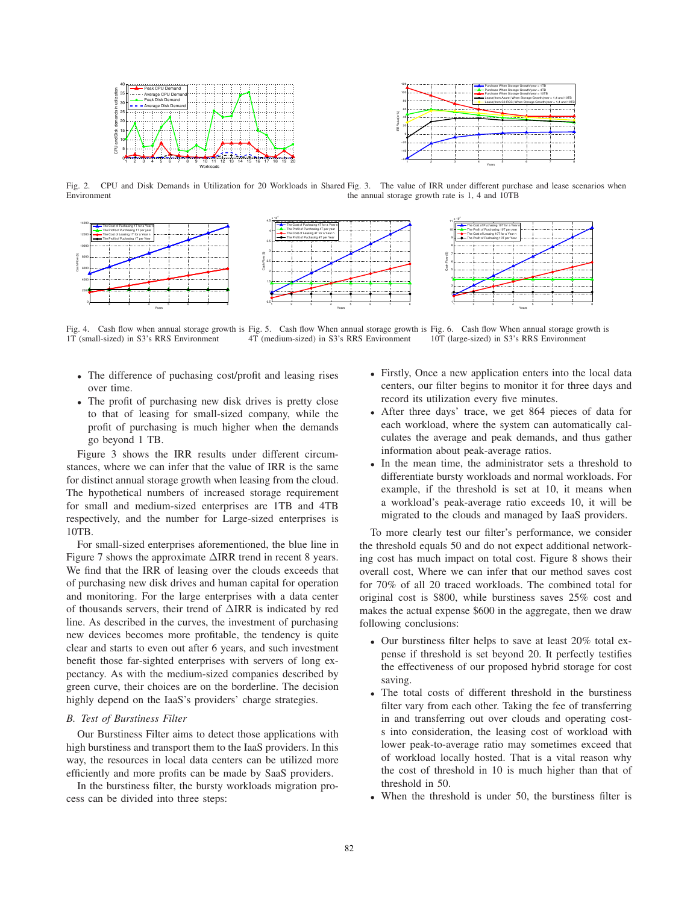



Fig. 2. CPU and Disk Demands in Utilization for 20 Workloads in Shared Fig. 3. The value of IRR under different purchase and lease scenarios when Environment the annual storage growth rate is 1, 4 and 10TB



Fig. 4. Cash flow when annual storage growth is Fig. 5. Cash flow When annual storage growth is Fig. 6. Cash flow When annual storage growth is 1T (small-sized) in S3's RRS Environment 4T (medium-sized) in S3's RRS Environment 10T (large-sized) in S3's RRS Environment

- The difference of puchasing cost/profit and leasing rises over time.
- The profit of purchasing new disk drives is pretty close to that of leasing for small-sized company, while the profit of purchasing is much higher when the demands go beyond 1 TB.

Figure 3 shows the IRR results under different circumstances, where we can infer that the value of IRR is the same for distinct annual storage growth when leasing from the cloud. The hypothetical numbers of increased storage requirement for small and medium-sized enterprises are 1TB and 4TB respectively, and the number for Large-sized enterprises is 10TB.

For small-sized enterprises aforementioned, the blue line in Figure 7 shows the approximate ΔIRR trend in recent 8 years. We find that the IRR of leasing over the clouds exceeds that of purchasing new disk drives and human capital for operation and monitoring. For the large enterprises with a data center of thousands servers, their trend of ΔIRR is indicated by red line. As described in the curves, the investment of purchasing new devices becomes more profitable, the tendency is quite clear and starts to even out after 6 years, and such investment benefit those far-sighted enterprises with servers of long expectancy. As with the medium-sized companies described by green curve, their choices are on the borderline. The decision highly depend on the IaaS's providers' charge strategies.

#### *B. Test of Burstiness Filter*

Our Burstiness Filter aims to detect those applications with high burstiness and transport them to the IaaS providers. In this way, the resources in local data centers can be utilized more efficiently and more profits can be made by SaaS providers.

In the burstiness filter, the bursty workloads migration process can be divided into three steps:

- Firstly, Once a new application enters into the local data centers, our filter begins to monitor it for three days and record its utilization every five minutes.
- After three days' trace, we get 864 pieces of data for each workload, where the system can automatically calculates the average and peak demands, and thus gather information about peak-average ratios.
- In the mean time, the administrator sets a threshold to differentiate bursty workloads and normal workloads. For example, if the threshold is set at 10, it means when a workload's peak-average ratio exceeds 10, it will be migrated to the clouds and managed by IaaS providers.

To more clearly test our filter's performance, we consider the threshold equals 50 and do not expect additional networking cost has much impact on total cost. Figure 8 shows their overall cost, Where we can infer that our method saves cost for 70% of all 20 traced workloads. The combined total for original cost is \$800, while burstiness saves 25% cost and makes the actual expense \$600 in the aggregate, then we draw following conclusions:

- Our burstiness filter helps to save at least 20% total expense if threshold is set beyond 20. It perfectly testifies the effectiveness of our proposed hybrid storage for cost saving.
- The total costs of different threshold in the burstiness filter vary from each other. Taking the fee of transferring in and transferring out over clouds and operating costs into consideration, the leasing cost of workload with lower peak-to-average ratio may sometimes exceed that of workload locally hosted. That is a vital reason why the cost of threshold in 10 is much higher than that of threshold in 50.
- When the threshold is under 50, the burstiness filter is